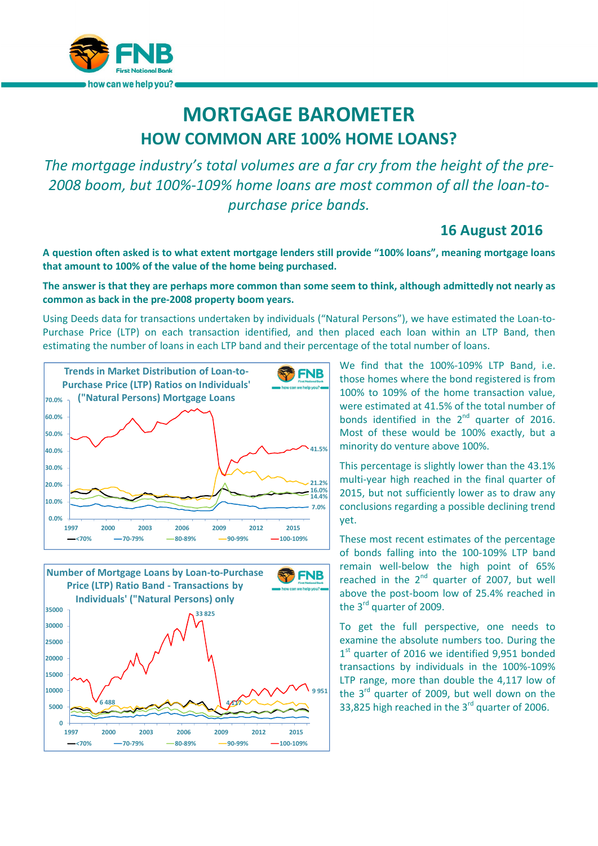

## MORTGAGE BAROMETER HOW COMMON ARE 100% HOME LOANS?

*The mortgage industry's total volumes are a far cry from the height of the pre-2008 boom, but 100%-109% home loans are most common of all the loan-topurchase price bands.*

## 16 August 2016

A question often asked is to what extent mortgage lenders still provide "100% loans", meaning mortgage loans that amount to 100% of the value of the home being purchased.

## The answer is that they are perhaps more common than some seem to think, although admittedly not nearly as common as back in the pre-2008 property boom years.

Using Deeds data for transactions undertaken by individuals ("Natural Persons"), we have estimated the Loan-to-Purchase Price (LTP) on each transaction identified, and then placed each loan within an LTP Band, then estimating the number of loans in each LTP band and their percentage of the total number of loans.





We find that the 100%-109% LTP Band, i.e. those homes where the bond registered is from 100% to 109% of the home transaction value, were estimated at 41.5% of the total number of bonds identified in the  $2^{nd}$  quarter of 2016. Most of these would be 100% exactly, but a minority do venture above 100%.

This percentage is slightly lower than the 43.1% multi-year high reached in the final quarter of 2015, but not sufficiently lower as to draw any conclusions regarding a possible declining trend yet.

These most recent estimates of the percentage of bonds falling into the 100-109% LTP band remain well-below the high point of 65% reached in the  $2^{nd}$  quarter of 2007, but well above the post-boom low of 25.4% reached in the 3<sup>rd</sup> quarter of 2009.

To get the full perspective, one needs to examine the absolute numbers too. During the  $1<sup>st</sup>$  quarter of 2016 we identified 9,951 bonded transactions by individuals in the 100%-109% LTP range, more than double the 4,117 low of the 3rd quarter of 2009, but well down on the 33,825 high reached in the  $3<sup>rd</sup>$  quarter of 2006.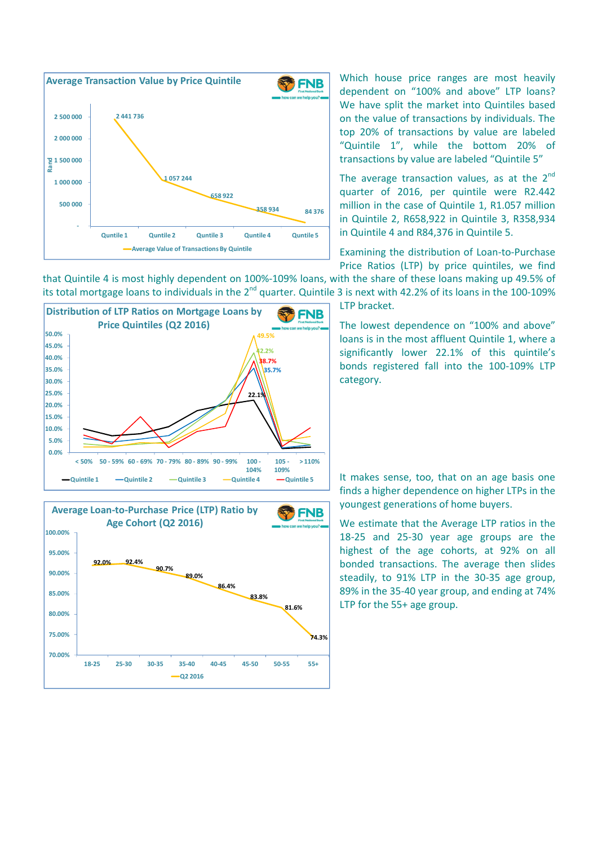

Which house price ranges are most heavily dependent on "100% and above" LTP loans? We have split the market into Quintiles based on the value of transactions by individuals. The top 20% of transactions by value are labeled "Quintile 1", while the bottom 20% of transactions by value are labeled "Quintile 5"

The average transaction values, as at the  $2^{nd}$ quarter of 2016, per quintile were R2.442 million in the case of Quintile 1, R1.057 million in Quintile 2, R658,922 in Quintile 3, R358,934 in Quintile 4 and R84,376 in Quintile 5.

Examining the distribution of Loan-to-Purchase Price Ratios (LTP) by price quintiles, we find

that Quintile 4 is most highly dependent on 100%-109% loans, with the share of these loans making up 49.5% of its total mortgage loans to individuals in the 2<sup>nd</sup> quarter. Quintile 3 is next with 42.2% of its loans in the 100-109%



Average Loan-to-Purchase Price (LTP) Ratio by **FNB** Age Cohort (Q2 2016) 100.00% 95.00% 92.0% 92.4% 90.7% 90.00% 89.0% 86.4% 85.00% 83.8% 81.6% 80.00% 75.00% 74.3% 70.00% 18-25 25-30 30-35 35-40 40-45 45-50 50-55 55+ Q2 2016

LTP bracket.

The lowest dependence on "100% and above" loans is in the most affluent Quintile 1, where a significantly lower 22.1% of this quintile's bonds registered fall into the 100-109% LTP category.

It makes sense, too, that on an age basis one finds a higher dependence on higher LTPs in the youngest generations of home buyers.

We estimate that the Average LTP ratios in the 18-25 and 25-30 year age groups are the highest of the age cohorts, at 92% on all bonded transactions. The average then slides steadily, to 91% LTP in the 30-35 age group, 89% in the 35-40 year group, and ending at 74% LTP for the 55+ age group.